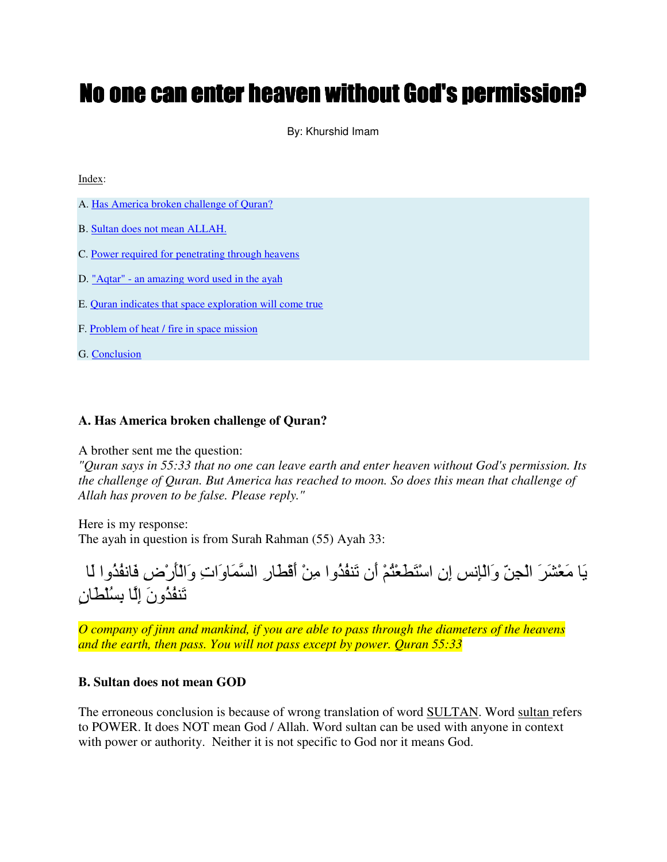# No one can enter heaven without God's permission?

By: Khurshid Imam

Index:

- A. Has America broken challenge of Quran?
- B. Sultan does not mean ALLAH.
- C. Power required for penetrating through heavens
- D. "Aqtar" an amazing word used in the ayah
- E. Quran indicates that space exploration will come true
- F. Problem of heat / fire in space mission

G. Conclusion

#### **A. Has America broken challenge of Quran?**

A brother sent me the question:

*"Quran says in 55:33 that no one can leave earth and enter heaven without God's permission. Its the challenge of Quran. But America has reached to moon. So does this mean that challenge of Allah has proven to be false. Please reply."*

Here is my response: The ayah in question is from Surah Rahman (55) Ayah 33:



*O company of jinn and mankind, if you are able to pass through the diameters of the heavens and the earth, then pass. You will not pass except by power. Quran 55:33* 

#### **B. Sultan does not mean GOD**

The erroneous conclusion is because of wrong translation of word SULTAN. Word sultan refers to POWER. It does NOT mean God / Allah. Word sultan can be used with anyone in context with power or authority. Neither it is not specific to God nor it means God.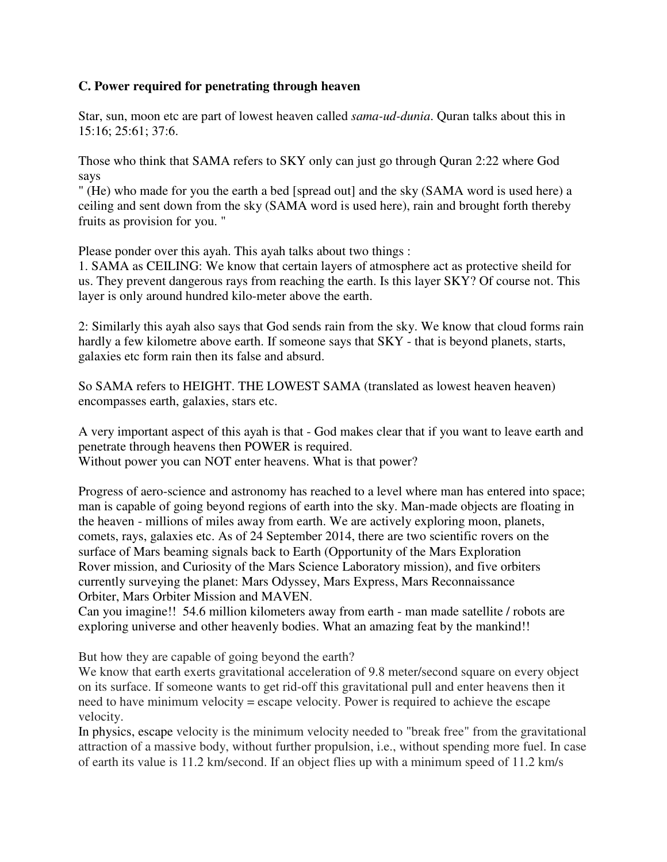### **C. Power required for penetrating through heaven**

Star, sun, moon etc are part of lowest heaven called *sama-ud-dunia*. Quran talks about this in 15:16; 25:61; 37:6.

Those who think that SAMA refers to SKY only can just go through Quran 2:22 where God says

" (He) who made for you the earth a bed [spread out] and the sky (SAMA word is used here) a ceiling and sent down from the sky (SAMA word is used here), rain and brought forth thereby fruits as provision for you. "

Please ponder over this ayah. This ayah talks about two things :

1. SAMA as CEILING: We know that certain layers of atmosphere act as protective sheild for us. They prevent dangerous rays from reaching the earth. Is this layer SKY? Of course not. This layer is only around hundred kilo-meter above the earth.

2: Similarly this ayah also says that God sends rain from the sky. We know that cloud forms rain hardly a few kilometre above earth. If someone says that SKY - that is beyond planets, starts, galaxies etc form rain then its false and absurd.

So SAMA refers to HEIGHT. THE LOWEST SAMA (translated as lowest heaven heaven) encompasses earth, galaxies, stars etc.

A very important aspect of this ayah is that - God makes clear that if you want to leave earth and penetrate through heavens then POWER is required. Without power you can NOT enter heavens. What is that power?

Progress of aero-science and astronomy has reached to a level where man has entered into space; man is capable of going beyond regions of earth into the sky. Man-made objects are floating in the heaven - millions of miles away from earth. We are actively exploring moon, planets, comets, rays, galaxies etc. As of 24 September 2014, there are two scientific rovers on the surface of Mars beaming signals back to Earth (Opportunity of the Mars Exploration Rover mission, and Curiosity of the Mars Science Laboratory mission), and five orbiters currently surveying the planet: Mars Odyssey, Mars Express, Mars Reconnaissance Orbiter, Mars Orbiter Mission and MAVEN.

Can you imagine!! 54.6 million kilometers away from earth - man made satellite / robots are exploring universe and other heavenly bodies. What an amazing feat by the mankind!!

But how they are capable of going beyond the earth?

We know that earth exerts gravitational acceleration of 9.8 meter/second square on every object on its surface. If someone wants to get rid-off this gravitational pull and enter heavens then it need to have minimum velocity = escape velocity. Power is required to achieve the escape velocity.

In physics, escape velocity is the minimum velocity needed to "break free" from the gravitational attraction of a massive body, without further propulsion, i.e., without spending more fuel. In case of earth its value is 11.2 km/second. If an object flies up with a minimum speed of 11.2 km/s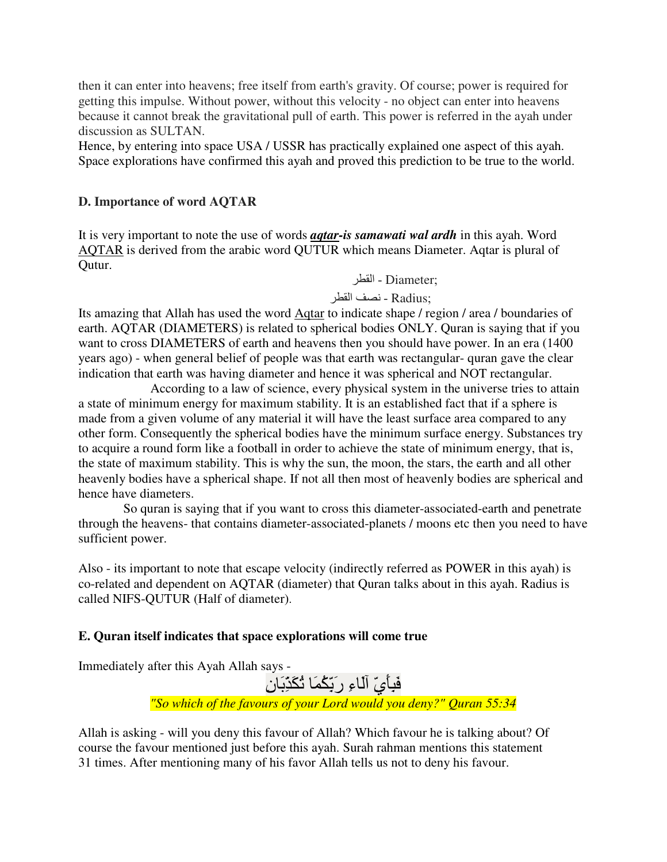then it can enter into heavens; free itself from earth's gravity. Of course; power is required for getting this impulse. Without power, without this velocity - no object can enter into heavens because it cannot break the gravitational pull of earth. This power is referred in the ayah under discussion as SULTAN.

Hence, by entering into space USA / USSR has practically explained one aspect of this ayah. Space explorations have confirmed this ayah and proved this prediction to be true to the world.

### **D. Importance of word AQTAR**

It is very important to note the use of words *aqtar-is samawati wal ardh* in this ayah. Word AQTAR is derived from the arabic word QUTUR which means Diameter. Aqtar is plural of Qutur.

: Diameter - القطر

: Radius - نصف القطر

Its amazing that Allah has used the word Aqtar to indicate shape / region / area / boundaries of earth. AQTAR (DIAMETERS) is related to spherical bodies ONLY. Quran is saying that if you want to cross DIAMETERS of earth and heavens then you should have power. In an era (1400 years ago) - when general belief of people was that earth was rectangular- quran gave the clear indication that earth was having diameter and hence it was spherical and NOT rectangular.

 According to a law of science, every physical system in the universe tries to attain a state of minimum energy for maximum stability. It is an established fact that if a sphere is made from a given volume of any material it will have the least surface area compared to any other form. Consequently the spherical bodies have the minimum surface energy. Substances try to acquire a round form like a football in order to achieve the state of minimum energy, that is, the state of maximum stability. This is why the sun, the moon, the stars, the earth and all other heavenly bodies have a spherical shape. If not all then most of heavenly bodies are spherical and hence have diameters.

 So quran is saying that if you want to cross this diameter-associated-earth and penetrate through the heavens- that contains diameter-associated-planets / moons etc then you need to have sufficient power.

Also - its important to note that escape velocity (indirectly referred as POWER in this ayah) is co-related and dependent on AQTAR (diameter) that Quran talks about in this ayah. Radius is called NIFS-QUTUR (Half of diameter).

## **E. Quran itself indicates that space explorations will come true**

Immediately after this Ayah Allah says -

َفَبِأَيِّ اَلَّـاءِ ر<sup>َ</sup>بِّكُمَا ثُكَدِّبَانِ

*"So which of the favours of your Lord would you deny?" Quran 55:34* 

Allah is asking - will you deny this favour of Allah? Which favour he is talking about? Of course the favour mentioned just before this ayah. Surah rahman mentions this statement 31 times. After mentioning many of his favor Allah tells us not to deny his favour.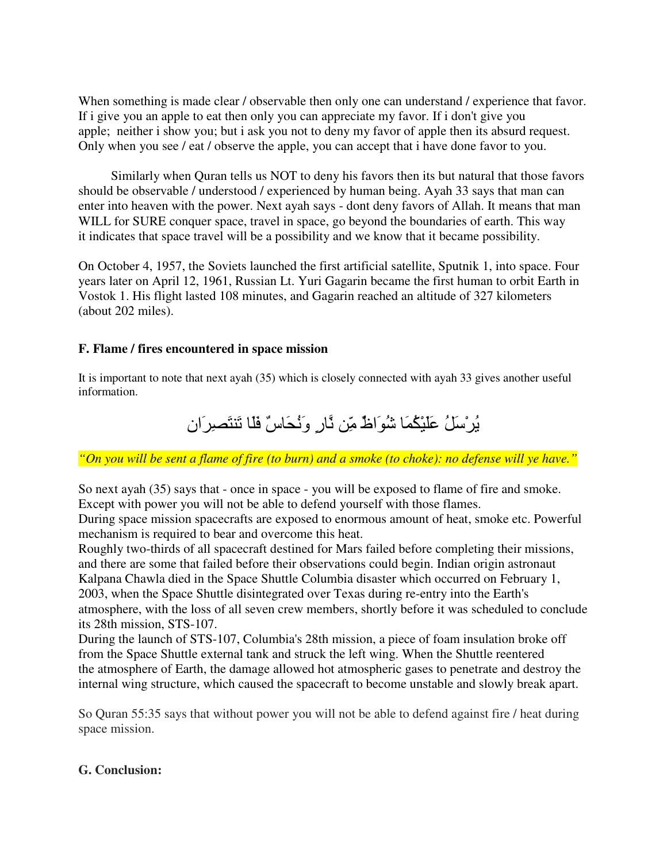When something is made clear / observable then only one can understand / experience that favor. If i give you an apple to eat then only you can appreciate my favor. If i don't give you apple; neither i show you; but i ask you not to deny my favor of apple then its absurd request. Only when you see / eat / observe the apple, you can accept that i have done favor to you.

 Similarly when Quran tells us NOT to deny his favors then its but natural that those favors should be observable / understood / experienced by human being. Ayah 33 says that man can enter into heaven with the power. Next ayah says - dont deny favors of Allah. It means that man WILL for SURE conquer space, travel in space, go beyond the boundaries of earth. This way it indicates that space travel will be a possibility and we know that it became possibility.

On October 4, 1957, the Soviets launched the first artificial satellite, Sputnik 1, into space. Four years later on April 12, 1961, Russian Lt. Yuri Gagarin became the first human to orbit Earth in Vostok 1. His flight lasted 108 minutes, and Gagarin reached an altitude of 327 kilometers (about 202 miles).

#### **F. Flame / fires encountered in space mission**

It is important to note that next ayah (35) which is closely connected with ayah 33 gives another useful information.

يُرْسَلُ عَلَيْكُمَا شُوَاظٌ مِّن ثَارِ وَنُحَاسٌ فَلَا تَنتَصبرَان

*"On you will be sent a flame of fire (to burn) and a smoke (to choke): no defense will ye have."* 

So next ayah (35) says that - once in space - you will be exposed to flame of fire and smoke. Except with power you will not be able to defend yourself with those flames.

During space mission spacecrafts are exposed to enormous amount of heat, smoke etc. Powerful mechanism is required to bear and overcome this heat.

Roughly two-thirds of all spacecraft destined for Mars failed before completing their missions, and there are some that failed before their observations could begin. Indian origin astronaut Kalpana Chawla died in the Space Shuttle Columbia disaster which occurred on February 1, 2003, when the Space Shuttle disintegrated over Texas during re-entry into the Earth's atmosphere, with the loss of all seven crew members, shortly before it was scheduled to conclude its 28th mission, STS-107.

During the launch of STS-107, Columbia's 28th mission, a piece of foam insulation broke off from the Space Shuttle external tank and struck the left wing. When the Shuttle reentered the atmosphere of Earth, the damage allowed hot atmospheric gases to penetrate and destroy the internal wing structure, which caused the spacecraft to become unstable and slowly break apart.

So Quran 55:35 says that without power you will not be able to defend against fire / heat during space mission.

#### **G. Conclusion:**